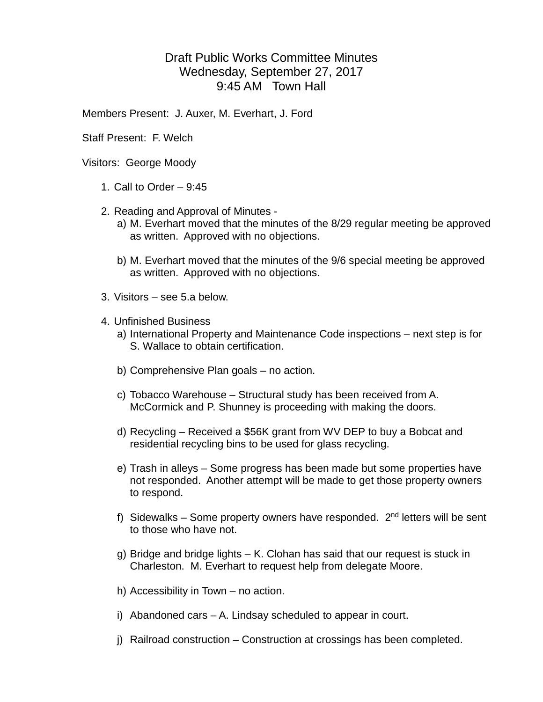## Draft Public Works Committee Minutes Wednesday, September 27, 2017 9:45 AM Town Hall

Members Present: J. Auxer, M. Everhart, J. Ford

Staff Present: F. Welch

Visitors: George Moody

- 1. Call to Order 9:45
- 2. Reading and Approval of Minutes
	- a) M. Everhart moved that the minutes of the 8/29 regular meeting be approved as written. Approved with no objections.
	- b) M. Everhart moved that the minutes of the 9/6 special meeting be approved as written. Approved with no objections.
- 3. Visitors see 5.a below.
- 4. Unfinished Business
	- a) International Property and Maintenance Code inspections next step is for S. Wallace to obtain certification.
	- b) Comprehensive Plan goals no action.
	- c) Tobacco Warehouse Structural study has been received from A. McCormick and P. Shunney is proceeding with making the doors.
	- d) Recycling Received a \$56K grant from WV DEP to buy a Bobcat and residential recycling bins to be used for glass recycling.
	- e) Trash in alleys Some progress has been made but some properties have not responded. Another attempt will be made to get those property owners to respond.
	- f) Sidewalks Some property owners have responded.  $2<sup>nd</sup>$  letters will be sent to those who have not.
	- g) Bridge and bridge lights K. Clohan has said that our request is stuck in Charleston. M. Everhart to request help from delegate Moore.
	- h) Accessibility in Town no action.
	- i) Abandoned cars A. Lindsay scheduled to appear in court.
	- j) Railroad construction Construction at crossings has been completed.